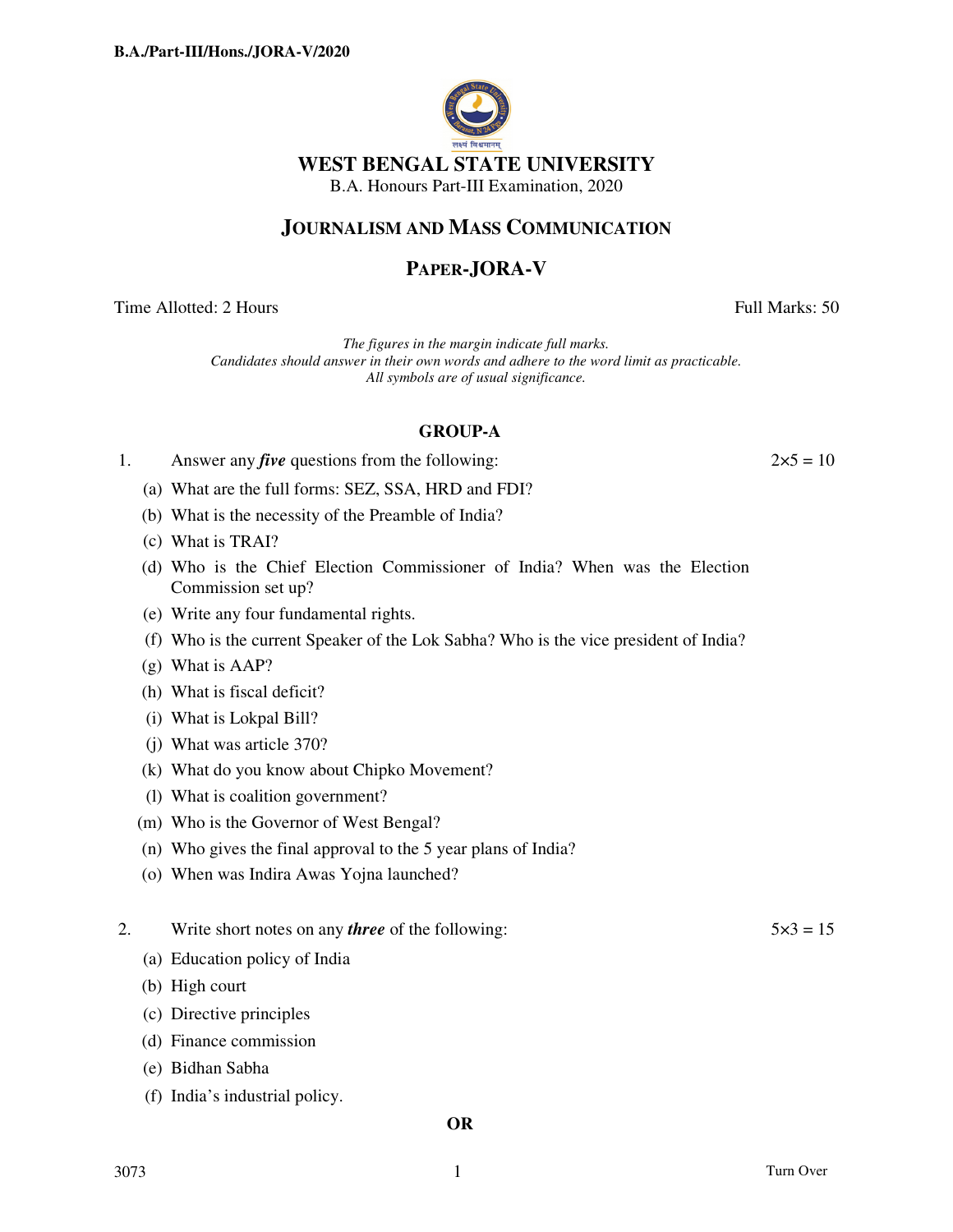

## **JOURNALISM AND MASS COMMUNICATION**

# **PAPER-JORA-V**

Time Allotted: 2 Hours **Full Marks:** 50

*The figures in the margin indicate full marks. Candidates should answer in their own words and adhere to the word limit as practicable. All symbols are of usual significance.*

## **GROUP-A**

| Answer any <i>five</i> questions from the following: | $2 \times 5 = 10$ |
|------------------------------------------------------|-------------------|
|                                                      |                   |

- (a) What are the full forms: SEZ, SSA, HRD and FDI?
- (b) What is the necessity of the Preamble of India?
- (c) What is TRAI?
- (d) Who is the Chief Election Commissioner of India? When was the Election Commission set up?
- (e) Write any four fundamental rights.
- (f) Who is the current Speaker of the Lok Sabha? Who is the vice president of India?
- (g) What is AAP?
- (h) What is fiscal deficit?
- (i) What is Lokpal Bill?
- (j) What was article 370?
- (k) What do you know about Chipko Movement?
- (l) What is coalition government?
- (m) Who is the Governor of West Bengal?
- (n) Who gives the final approval to the 5 year plans of India?
- (o) When was Indira Awas Yojna launched?

## 2. Write short notes on any *three* of the following:  $5 \times 3 = 15$

- (a) Education policy of India
- (b) High court
- (c) Directive principles
- (d) Finance commission
- (e) Bidhan Sabha
- (f) India's industrial policy.

#### **OR**